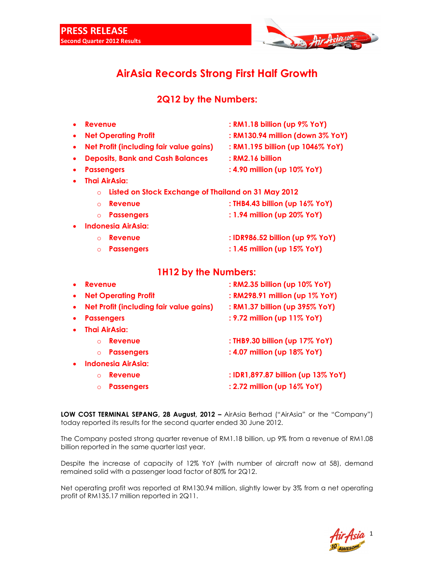

## **AirAsia Records Strong First Half Growth**

## **2Q12 by the Numbers:**

|           | <b>Revenue</b>                                                 | : RM1.18 billion (up 9% YoY)       |
|-----------|----------------------------------------------------------------|------------------------------------|
| ٠         | <b>Net Operating Profit</b>                                    | : RM130.94 million (down 3% YoY)   |
| $\bullet$ | Net Profit (including fair value gains)                        | : RM1.195 billion (up 1046% YoY)   |
| $\bullet$ | <b>Deposits, Bank and Cash Balances</b>                        | : RM2.16 billion                   |
| $\bullet$ | <b>Passengers</b>                                              | : 4.90 million (up 10% YoY)        |
|           | <b>Thai AirAsia:</b>                                           |                                    |
|           | Listed on Stock Exchange of Thailand on 31 May 2012<br>$\circ$ |                                    |
|           | <b>Revenue</b><br>$\Omega$                                     | : THB4.43 billion (up 16% YoY)     |
|           | <b>Passengers</b><br>$\circ$                                   | : 1.94 million (up 20% YoY)        |
|           | <b>Indonesia AirAsia:</b>                                      |                                    |
|           | <b>Revenue</b><br>$\Omega$                                     | : IDR986.52 billion (up 9% YoY)    |
|           | <b>Passengers</b><br>$\circ$                                   | : 1.45 million (up 15% YoY)        |
|           |                                                                |                                    |
|           | <b>1H12 by the Numbers:</b>                                    |                                    |
| $\bullet$ | <b>Revenue</b>                                                 | : RM2.35 billion (up 10% YoY)      |
| ٠         | <b>Net Operating Profit</b>                                    | : RM298.91 million (up 1% YoY)     |
| ٠         | Net Profit (including fair value gains)                        | : RM1.37 billion (up 395% YoY)     |
| $\bullet$ | <b>Passengers</b>                                              | : 9.72 million (up 11% YoY)        |
|           | <b>Thai AirAsia:</b>                                           |                                    |
|           | Revenue<br>$\Omega$                                            | : THB9.30 billion (up 17% YoY)     |
|           | <b>Passengers</b><br>$\circ$                                   | : 4.07 million (up 18% YoY)        |
|           | <b>Indonesia AirAsia:</b>                                      |                                    |
|           | Revenue<br>$\Omega$                                            | : IDR1,897.87 billion (up 13% YoY) |

**LOW COST TERMINAL SEPANG, 28 August, 2012 - AirAsia Berhad ("AirAsia" or the "Company")** today reported its results for the second quarter ended 30 June 2012.

The Company posted strong quarter revenue of RM1.18 billion, up 9% from a revenue of RM1.08 billion reported in the same quarter last year.

Despite the increase of capacity of 12% YoY (with number of aircraft now at 58), demand remained solid with a passenger load factor of 80% for 2Q12.

Net operating profit was reported at RM130.94 million, slightly lower by 3% from a net operating profit of RM135.17 million reported in 2Q11.

1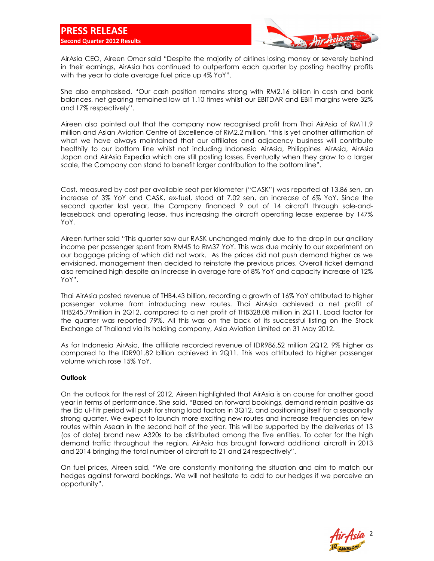

AirAsia CEO, Aireen Omar said "Despite the majority of airlines losing money or severely behind in their earnings, AirAsia has continued to outperform each quarter by posting healthy profits with the year to date average fuel price up 4% YoY".

She also emphasised, "Our cash position remains strong with RM2.16 billion in cash and bank balances, net gearing remained low at 1.10 times whilst our EBITDAR and EBIT margins were 32% and 17% respectively".

Aireen also pointed out that the company now recognised profit from Thai AirAsia of RM11.9 million and Asian Aviation Centre of Excellence of RM2.2 million, "this is yet another affirmation of what we have always maintained that our affiliates and adjacency business will contribute healthily to our bottom line whilst not including Indonesia AirAsia, Philippines AirAsia, AirAsia Japan and AirAsia Expedia which are still posting losses. Eventually when they grow to a larger scale, the Company can stand to benefit larger contribution to the bottom line".

Cost, measured by cost per available seat per kilometer ("CASK") was reported at 13.86 sen, an increase of 3% YoY and CASK, ex-fuel, stood at 7.02 sen, an increase of 6% YoY. Since the second quarter last year, the Company financed 9 out of 14 aircraft through sale-andleaseback and operating lease, thus increasing the aircraft operating lease expense by 147% YoY.

Aireen further said "This quarter saw our RASK unchanged mainly due to the drop in our ancillary income per passenger spent from RM45 to RM37 YoY. This was due mainly to our experiment on our baggage pricing of which did not work. As the prices did not push demand higher as we envisioned, management then decided to reinstate the previous prices. Overall ticket demand also remained high despite an increase in average fare of 8% YoY and capacity increase of 12% YoY".

Thai AirAsia posted revenue of THB4.43 billion, recording a growth of 16% YoY attributed to higher passenger volume from introducing new routes. Thai AirAsia achieved a net profit of THB245.79million in 2Q12, compared to a net profit of THB328.08 million in 2Q11. Load factor for the quarter was reported 79%. All this was on the back of its successful listing on the Stock Exchange of Thailand via its holding company, Asia Aviation Limited on 31 May 2012.

As for Indonesia AirAsia, the affiliate recorded revenue of IDR986.52 million 2Q12, 9% higher as compared to the IDR901.82 billion achieved in 2Q11. This was attributed to higher passenger volume which rose 15% YoY.

## **Outlook**

On the outlook for the rest of 2012, Aireen highlighted that AirAsia is on course for another good year in terms of performance. She said, "Based on forward bookings, demand remain positive as the Eid ul-Fitr period will push for strong load factors in 3Q12, and positioning itself for a seasonally strong quarter. We expect to launch more exciting new routes and increase frequencies on few routes within Asean in the second half of the year. This will be supported by the deliveries of 13 (as of date) brand new A320s to be distributed among the five entities. To cater for the high demand traffic throughout the region, AirAsia has brought forward additional aircraft in 2013 and 2014 bringing the total number of aircraft to 21 and 24 respectively".

On fuel prices, Aireen said, "We are constantly monitoring the situation and aim to match our hedges against forward bookings. We will not hesitate to add to our hedges if we perceive an opportunity".

2